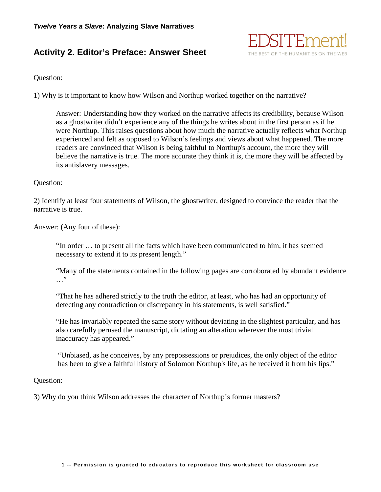# **Activity 2. Editor's Preface: Answer Sheet**



## Question:

1) Why is it important to know how Wilson and Northup worked together on the narrative?

Answer: Understanding how they worked on the narrative affects its credibility, because Wilson as a ghostwriter didn't experience any of the things he writes about in the first person as if he were Northup. This raises questions about how much the narrative actually reflects what Northup experienced and felt as opposed to Wilson's feelings and views about what happened. The more readers are convinced that Wilson is being faithful to Northup's account, the more they will believe the narrative is true. The more accurate they think it is, the more they will be affected by its antislavery messages.

### Question:

2) Identify at least four statements of Wilson, the ghostwriter, designed to convince the reader that the narrative is true.

Answer: (Any four of these):

"In order … to present all the facts which have been communicated to him, it has seemed necessary to extend it to its present length."

"Many of the statements contained in the following pages are corroborated by abundant evidence …"

"That he has adhered strictly to the truth the editor, at least, who has had an opportunity of detecting any contradiction or discrepancy in his statements, is well satisfied."

"He has invariably repeated the same story without deviating in the slightest particular, and has also carefully perused the manuscript, dictating an alteration wherever the most trivial inaccuracy has appeared."

"Unbiased, as he conceives, by any prepossessions or prejudices, the only object of the editor has been to give a faithful history of Solomon Northup's life, as he received it from his lips."

#### Question:

3) Why do you think Wilson addresses the character of Northup's former masters?